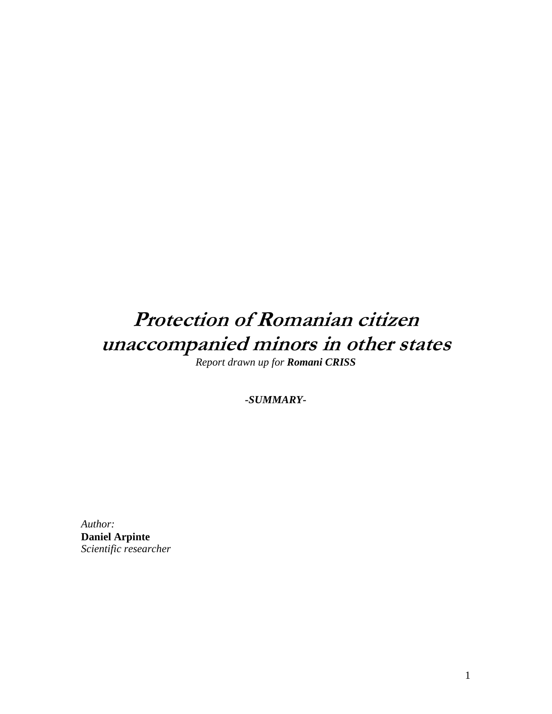## Protection of Romanian citizen unaccompanied minors in other states

*Report drawn up for Romani CRISS* 

*-SUMMARY-*

*Author:*  **Daniel Arpinte**  *Scientific researcher*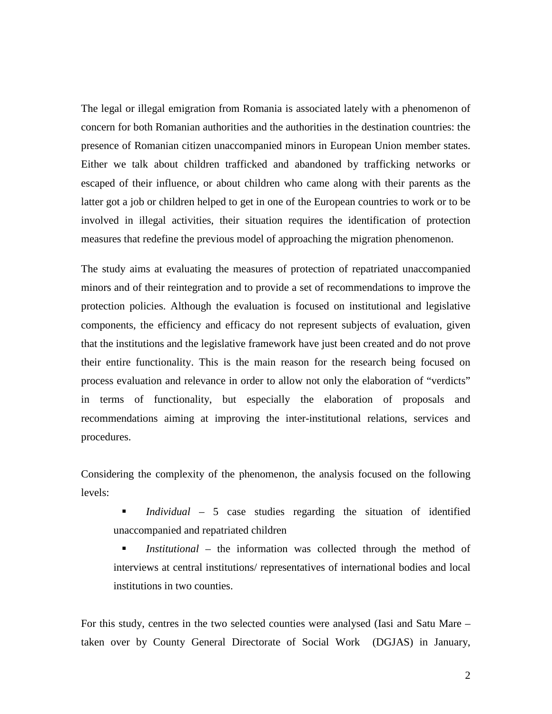The legal or illegal emigration from Romania is associated lately with a phenomenon of concern for both Romanian authorities and the authorities in the destination countries: the presence of Romanian citizen unaccompanied minors in European Union member states. Either we talk about children trafficked and abandoned by trafficking networks or escaped of their influence, or about children who came along with their parents as the latter got a job or children helped to get in one of the European countries to work or to be involved in illegal activities, their situation requires the identification of protection measures that redefine the previous model of approaching the migration phenomenon.

The study aims at evaluating the measures of protection of repatriated unaccompanied minors and of their reintegration and to provide a set of recommendations to improve the protection policies. Although the evaluation is focused on institutional and legislative components, the efficiency and efficacy do not represent subjects of evaluation, given that the institutions and the legislative framework have just been created and do not prove their entire functionality. This is the main reason for the research being focused on process evaluation and relevance in order to allow not only the elaboration of "verdicts" in terms of functionality, but especially the elaboration of proposals and recommendations aiming at improving the inter-institutional relations, services and procedures.

Considering the complexity of the phenomenon, the analysis focused on the following levels:

- *Individual* 5 case studies regarding the situation of identified unaccompanied and repatriated children
- *Institutional* the information was collected through the method of interviews at central institutions/ representatives of international bodies and local institutions in two counties.

For this study, centres in the two selected counties were analysed (Iasi and Satu Mare – taken over by County General Directorate of Social Work (DGJAS) in January,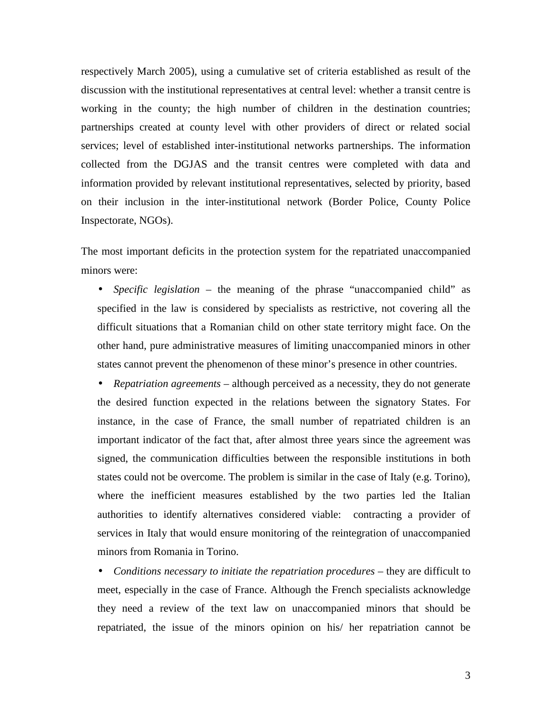respectively March 2005), using a cumulative set of criteria established as result of the discussion with the institutional representatives at central level: whether a transit centre is working in the county; the high number of children in the destination countries; partnerships created at county level with other providers of direct or related social services; level of established inter-institutional networks partnerships. The information collected from the DGJAS and the transit centres were completed with data and information provided by relevant institutional representatives, selected by priority, based on their inclusion in the inter-institutional network (Border Police, County Police Inspectorate, NGOs).

The most important deficits in the protection system for the repatriated unaccompanied minors were:

• *Specific legislation* – the meaning of the phrase "unaccompanied child" as specified in the law is considered by specialists as restrictive, not covering all the difficult situations that a Romanian child on other state territory might face. On the other hand, pure administrative measures of limiting unaccompanied minors in other states cannot prevent the phenomenon of these minor's presence in other countries.

• *Repatriation agreements* – although perceived as a necessity, they do not generate the desired function expected in the relations between the signatory States. For instance, in the case of France, the small number of repatriated children is an important indicator of the fact that, after almost three years since the agreement was signed, the communication difficulties between the responsible institutions in both states could not be overcome. The problem is similar in the case of Italy (e.g. Torino), where the inefficient measures established by the two parties led the Italian authorities to identify alternatives considered viable: contracting a provider of services in Italy that would ensure monitoring of the reintegration of unaccompanied minors from Romania in Torino.

• *Conditions necessary to initiate the repatriation procedures* – they are difficult to meet, especially in the case of France. Although the French specialists acknowledge they need a review of the text law on unaccompanied minors that should be repatriated, the issue of the minors opinion on his/ her repatriation cannot be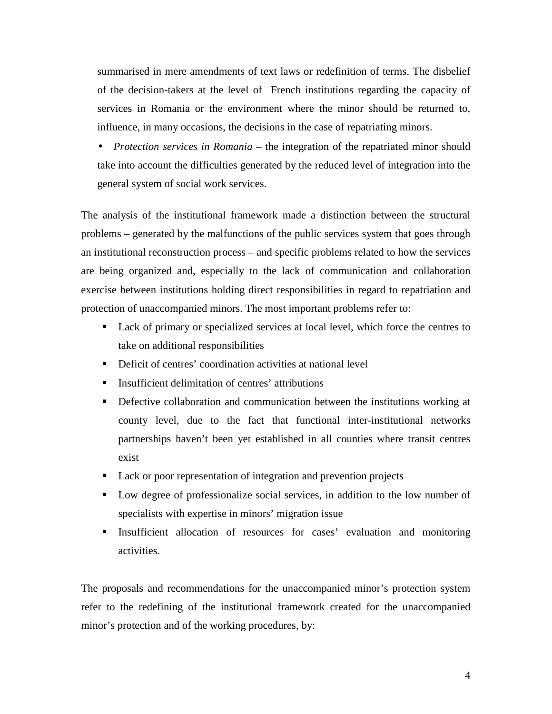summarised in mere amendments of text laws or redefinition of terms. The disbelief of the decision-takers at the level of French institutions regarding the capacity of services in Romania or the environment where the minor should be returned to, influence, in many occasions, the decisions in the case of repatriating minors.

• *Protection services in Romania* – the integration of the repatriated minor should take into account the difficulties generated by the reduced level of integration into the general system of social work services.

The analysis of the institutional framework made a distinction between the structural problems – generated by the malfunctions of the public services system that goes through an institutional reconstruction process – and specific problems related to how the services are being organized and, especially to the lack of communication and collaboration exercise between institutions holding direct responsibilities in regard to repatriation and protection of unaccompanied minors. The most important problems refer to:

- Lack of primary or specialized services at local level, which force the centres to take on additional responsibilities
- Deficit of centres' coordination activities at national level
- **Insufficient delimitation of centres' attributions**
- Defective collaboration and communication between the institutions working at county level, due to the fact that functional inter-institutional networks partnerships haven't been yet established in all counties where transit centres exist
- Lack or poor representation of integration and prevention projects
- Low degree of professionalize social services, in addition to the low number of specialists with expertise in minors' migration issue
- Insufficient allocation of resources for cases' evaluation and monitoring activities.

The proposals and recommendations for the unaccompanied minor's protection system refer to the redefining of the institutional framework created for the unaccompanied minor's protection and of the working procedures, by: